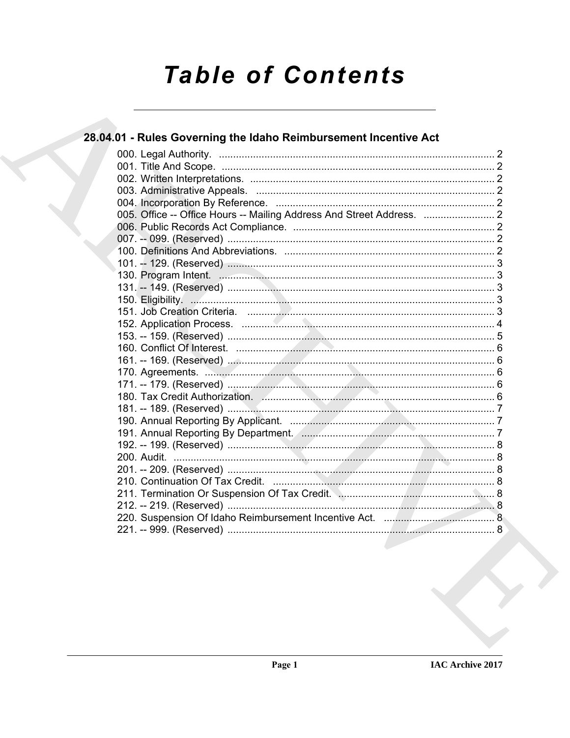# **Table of Contents**

## 28.04.01 - Rules Governing the Idaho Reimbursement Incentive Act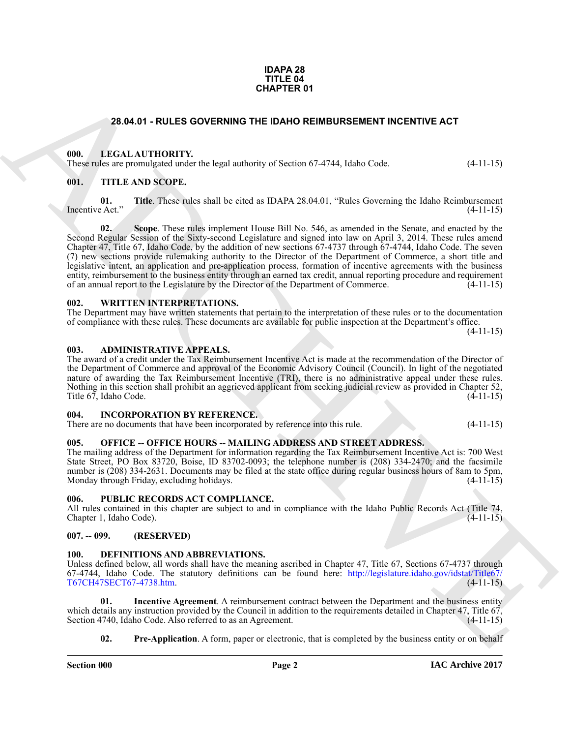#### **IDAPA 28 TITLE 04 CHAPTER 01**

#### <span id="page-1-15"></span>**28.04.01 - RULES GOVERNING THE IDAHO REIMBURSEMENT INCENTIVE ACT**

#### <span id="page-1-1"></span><span id="page-1-0"></span>**000. LEGAL AUTHORITY.**

<span id="page-1-18"></span>These rules are promulgated under the legal authority of Section 67-4744, Idaho Code. (4-11-15)

#### <span id="page-1-2"></span>**001. TITLE AND SCOPE.**

<span id="page-1-20"></span><span id="page-1-19"></span>**01.** Title. These rules shall be cited as IDAPA 28.04.01, "Rules Governing the Idaho Reimbursement (4-11-15) Incentive Act."

**23.04.01 - RULES OO[VE](http://legislature.idaho.gov/idstat/Title67/T67CH47SECT67-4738.htm)RNIB THE IDANG REIMBURGEMENT INCENTIVE ACT<br>
(III).** IT ANN INTERNATIONAL THE INTERNATIONAL STATE IS a subscribed by the control of the state of the state of the state of the state of the state of the **02. Scope**. These rules implement House Bill No. 546, as amended in the Senate, and enacted by the Second Regular Session of the Sixty-second Legislature and signed into law on April 3, 2014. These rules amend Chapter 47, Title 67, Idaho Code, by the addition of new sections 67-4737 through 67-4744, Idaho Code. The seven (7) new sections provide rulemaking authority to the Director of the Department of Commerce, a short title and legislative intent, an application and pre-application process, formation of incentive agreements with the business entity, reimbursement to the business entity through an earned tax credit, annual reporting procedure and requirement of an annual report to the Legislature by the Director of the Department of Commerce. (4-11-15)

#### <span id="page-1-21"></span><span id="page-1-3"></span>**002. WRITTEN INTERPRETATIONS.**

The Department may have written statements that pertain to the interpretation of these rules or to the documentation of compliance with these rules. These documents are available for public inspection at the Department's office. (4-11-15)

#### <span id="page-1-10"></span><span id="page-1-4"></span>**003. ADMINISTRATIVE APPEALS.**

The award of a credit under the Tax Reimbursement Incentive Act is made at the recommendation of the Director of the Department of Commerce and approval of the Economic Advisory Council (Council). In light of the negotiated nature of awarding the Tax Reimbursement Incentive (TRI), there is no administrative appeal under these rules. Nothing in this section shall prohibit an aggrieved applicant from seeking judicial review as provided in Chapter 52, Title 67, Idaho Code. (4-11-15)

#### <span id="page-1-14"></span><span id="page-1-5"></span>**004. INCORPORATION BY REFERENCE.**

There are no documents that have been incorporated by reference into this rule. (4-11-15)

#### <span id="page-1-16"></span><span id="page-1-6"></span>**005. OFFICE -- OFFICE HOURS -- MAILING ADDRESS AND STREET ADDRESS.**

The mailing address of the Department for information regarding the Tax Reimbursement Incentive Act is: 700 West State Street, PO Box 83720, Boise, ID 83702-0093; the telephone number is (208) 334-2470; and the facsimile number is (208) 334-2631. Documents may be filed at the state office during regular business hours of 8am to 5pm,<br>Monday through Friday, excluding holidays. (4-11-15) Monday through Friday, excluding holidays.

#### <span id="page-1-17"></span><span id="page-1-7"></span>**006. PUBLIC RECORDS ACT COMPLIANCE.**

All rules contained in this chapter are subject to and in compliance with the Idaho Public Records Act (Title 74, Chapter 1, Idaho Code). (4-11-15) Chapter 1, Idaho Code).

#### <span id="page-1-8"></span>**007. -- 099. (RESERVED)**

#### <span id="page-1-11"></span><span id="page-1-9"></span>**100. DEFINITIONS AND ABBREVIATIONS.**

Unless defined below, all words shall have the meaning ascribed in Chapter 47, Title 67, Sections 67-4737 through 67-4744, Idaho Code. The statutory definitions can be found here: http://legislature.idaho.gov/idstat/Title67/ T67CH47SECT67-4738.htm.

**01. Incentive Agreement**. A reimbursement contract between the Department and the business entity which details any instruction provided by the Council in addition to the requirements detailed in Chapter 47, Title 67, Section 4740, Idaho Code. Also referred to as an Agreement. (4-11-15) Section 4740, Idaho Code. Also referred to as an Agreement.

<span id="page-1-13"></span><span id="page-1-12"></span>**02. Pre-Application**. A form, paper or electronic, that is completed by the business entity or on behalf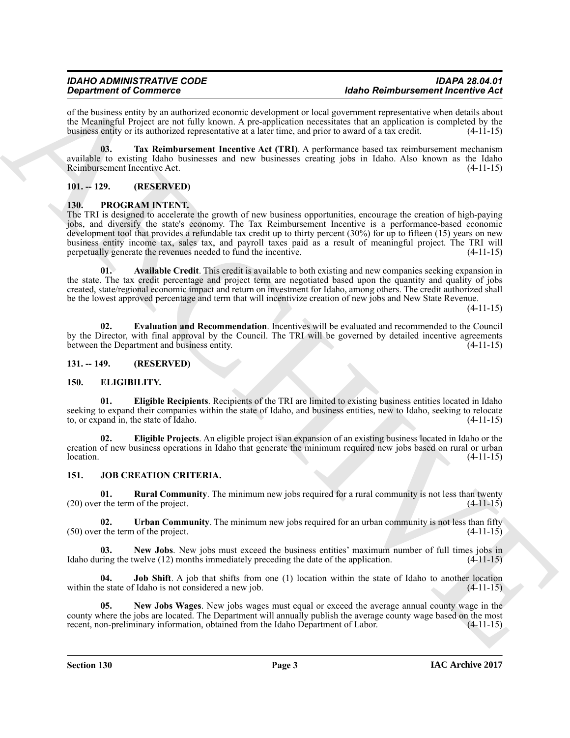of the business entity by an authorized economic development or local government representative when details about the Meaningful Project are not fully known. A pre-application necessitates that an application is completed by the business entity or its authorized representative at a later time, and prior to award of a tax credit. (4-11 business entity or its authorized representative at a later time, and prior to award of a tax credit.

<span id="page-2-5"></span>**03. Tax Reimbursement Incentive Act (TRI)**. A performance based tax reimbursement mechanism available to existing Idaho businesses and new businesses creating jobs in Idaho. Also known as the Idaho Reimbursement Incentive Act.

#### <span id="page-2-0"></span>**101. -- 129. (RESERVED)**

### <span id="page-2-1"></span>**130. PROGRAM INTENT.**

**Singularized of Consistence** Consistence Consisters and the Consister Consister Consister Consister Consister Consister Consister Consister Consister Consister Consister Consister Consister Consister Consister Consister The TRI is designed to accelerate the growth of new business opportunities, encourage the creation of high-paying jobs, and diversify the state's economy. The Tax Reimbursement Incentive is a performance-based economic development tool that provides a refundable tax credit up to thirty percent (30%) for up to fifteen (15) years on new business entity income tax, sales tax, and payroll taxes paid as a result of meaningful project. The TRI will perpetually generate the revenues needed to fund the incentive.

**01. Available Credit**. This credit is available to both existing and new companies seeking expansion in the state. The tax credit percentage and project term are negotiated based upon the quantity and quality of jobs created, state/regional economic impact and return on investment for Idaho, among others. The credit authorized shall be the lowest approved percentage and term that will incentivize creation of new jobs and New State Revenue.

 $(4-11-15)$ 

**02. Evaluation and Recommendation**. Incentives will be evaluated and recommended to the Council by the Director, with final approval by the Council. The TRI will be governed by detailed incentive agreements between the Department and business entity. (4-11-15) between the Department and business entity.

#### <span id="page-2-2"></span>**131. -- 149. (RESERVED)**

#### <span id="page-2-6"></span><span id="page-2-3"></span>**150. ELIGIBILITY.**

<span id="page-2-8"></span>**01. Eligible Recipients**. Recipients of the TRI are limited to existing business entities located in Idaho seeking to expand their companies within the state of Idaho, and business entities, new to Idaho, seeking to relocate to, or expand in, the state of Idaho. (4-11-15)

<span id="page-2-7"></span>**02. Eligible Projects**. An eligible project is an expansion of an existing business located in Idaho or the creation of new business operations in Idaho that generate the minimum required new jobs based on rural or urban  $\lambda$ location.  $(4-11-15)$ 

#### <span id="page-2-9"></span><span id="page-2-4"></span>**151. JOB CREATION CRITERIA.**

<span id="page-2-13"></span>**01.** Rural Community. The minimum new jobs required for a rural community is not less than twenty  $(20)$  over the term of the project.  $(4-11-15)$ 

<span id="page-2-14"></span>**02. Urban Community**. The minimum new jobs required for an urban community is not less than fifty r the term of the project. (4-11-15)  $(50)$  over the term of the project.

<span id="page-2-11"></span>**New Jobs**. New jobs must exceed the business entities' maximum number of full times jobs in welve (12) months immediately preceding the date of the application. (4-11-15) Idaho during the twelve  $(12)$  months immediately preceding the date of the application.

<span id="page-2-10"></span>**04. Job Shift**. A job that shifts from one (1) location within the state of Idaho to another location within the state of Idaho is not considered a new job. (4-11-15)

<span id="page-2-12"></span>**05. New Jobs Wages**. New jobs wages must equal or exceed the average annual county wage in the county where the jobs are located. The Department will annually publish the average county wage based on the most<br>recent, non-preliminary information, obtained from the Idaho Department of Labor. (4-11-15) recent, non-preliminary information, obtained from the Idaho Department of Labor.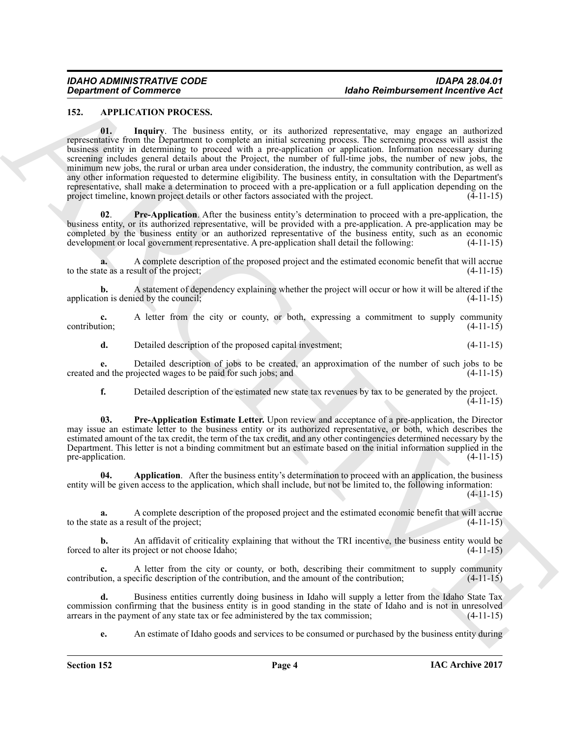#### <span id="page-3-3"></span><span id="page-3-1"></span><span id="page-3-0"></span>**152. APPLICATION PROCESS.**

**Equivariant of Commute 2**<br> **Associates and the stationary of the stationary and the stationary energy and the stationary energy and the stationary energy and the stationary energy and the stationary energy and the statio 01. Inquiry**. The business entity, or its authorized representative, may engage an authorized representative from the Department to complete an initial screening process. The screening process will assist the business entity in determining to proceed with a pre-application or application. Information necessary during screening includes general details about the Project, the number of full-time jobs, the number of new jobs, the minimum new jobs, the rural or urban area under consideration, the industry, the community contribution, as well as any other information requested to determine eligibility. The business entity, in consultation with the Department's representative, shall make a determination to proceed with a pre-application or a full application depending on the project timeline, known project details or other factors associated with the project. (4-11-15)

<span id="page-3-4"></span>**02**. **Pre-Application**. After the business entity's determination to proceed with a pre-application, the business entity, or its authorized representative, will be provided with a pre-application. A pre-application may be completed by the business entity or an authorized representative of the business entity, such as an economic development or local government representative. A pre-application shall detail the following: (4-11-15)

**a.** A complete description of the proposed project and the estimated economic benefit that will accrue te as a result of the project: (4-11-15) to the state as a result of the project;

**b.** A statement of dependency explaining whether the project will occur or how it will be altered if the on is denied by the council: application is denied by the council;

**c.** A letter from the city or county, or both, expressing a commitment to supply community contribution; (4-11-15) contribution; (4-11-15)

**d.** Detailed description of the proposed capital investment; (4-11-15)

**e.** Detailed description of jobs to be created, an approximation of the number of such jobs to be number of such jobs in the projected wages to be paid for such jobs; and  $(4-11-15)$ created and the projected wages to be paid for such jobs; and

<span id="page-3-5"></span>**f.** Detailed description of the estimated new state tax revenues by tax to be generated by the project. (4-11-15)

**03. Pre-Application Estimate Letter.** Upon review and acceptance of a pre-application, the Director may issue an estimate letter to the business entity or its authorized representative, or both, which describes the estimated amount of the tax credit, the term of the tax credit, and any other contingencies determined necessary by the Department. This letter is not a binding commitment but an estimate based on the initial information supplied in the pre-application. (4-11-15) pre-application.

<span id="page-3-2"></span>**04. Application**. After the business entity's determination to proceed with an application, the business entity will be given access to the application, which shall include, but not be limited to, the following information:

(4-11-15)

**a.** A complete description of the proposed project and the estimated economic benefit that will accrue the as a result of the project; (4-11-15) to the state as a result of the project;

**b.** An affidavit of criticality explaining that without the TRI incentive, the business entity would be alter its project or not choose Idaho;  $(4-11-15)$ forced to alter its project or not choose Idaho;

**c.** A letter from the city or county, or both, describing their commitment to supply community tion, a specific description of the contribution, and the amount of the contribution; (4-11-15) contribution, a specific description of the contribution, and the amount of the contribution;

**d.** Business entities currently doing business in Idaho will supply a letter from the Idaho State Tax commission confirming that the business entity is in good standing in the state of Idaho and is not in unresolved arrears in the payment of any state tax or fee administered by the tax commission; (4-11-15) arrears in the payment of any state tax or fee administered by the tax commission;

**e.** An estimate of Idaho goods and services to be consumed or purchased by the business entity during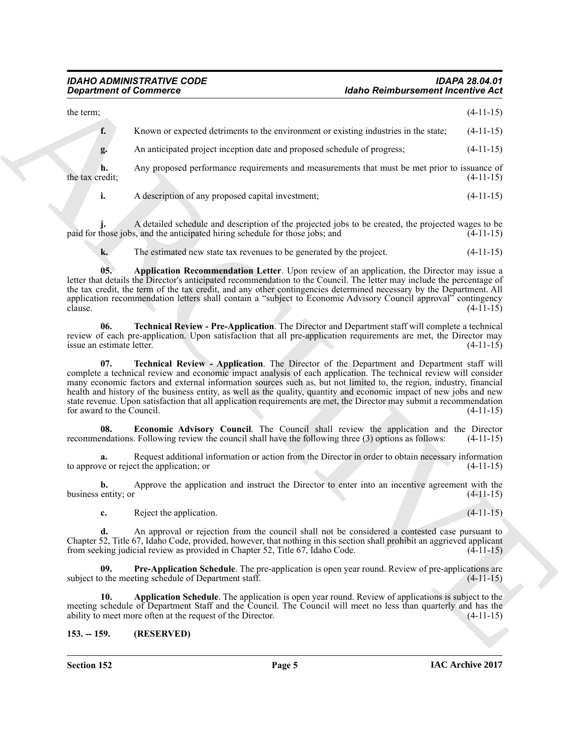#### *IDAHO ADMINISTRATIVE CODE IDAPA 28.04.01 <u>Idaho Reimbursement Incentive Act</u>*

**Experiment of Commission Commission Commission Commission Commission Commission Commission Commission Commission Commission Commission Commission Commission Commission Commission Commission Commission Commission Commissi** the term;  $(4-11-15)$ **f.** Known or expected detriments to the environment or existing industries in the state;  $(4-11-15)$ **g.** An anticipated project inception date and proposed schedule of progress; (4-11-15) **h.** Any proposed performance requirements and measurements that must be met prior to issuance of the tax credit:  $(4-11-15)$ the tax credit;  $(4-11-15)$ 

**i.** A description of any proposed capital investment;  $(4-11-15)$ 

A detailed schedule and description of the projected jobs to be created, the projected wages to be s, and the anticipated hiring schedule for those jobs; and  $(4-11-15)$ paid for those jobs, and the anticipated hiring schedule for those jobs; and

<span id="page-4-1"></span>**k.** The estimated new state tax revenues to be generated by the project.  $(4-11-15)$ 

**05. Application Recommendation Letter**. Upon review of an application, the Director may issue a letter that details the Director's anticipated recommendation to the Council. The letter may include the percentage of the tax credit, the term of the tax credit, and any other contingencies determined necessary by the Department. All application recommendation letters shall contain a "subject to Economic Advisory Council approval" contingency<br>(4-11-15) clause.  $(4-11-15)$ 

<span id="page-4-6"></span>**06. Technical Review - Pre-Application**. The Director and Department staff will complete a technical review of each pre-application. Upon satisfaction that all pre-application requirements are met, the Director may<br>issue an estimate letter. (4-11-15) issue an estimate letter.

<span id="page-4-5"></span>**07. Technical Review - Application**. The Director of the Department and Department staff will complete a technical review and economic impact analysis of each application. The technical review will consider many economic factors and external information sources such as, but not limited to, the region, industry, financial health and history of the business entity, as well as the quality, quantity and economic impact of new jobs and new state revenue. Upon satisfaction that all application requirements are met, the Director may submit a recommendation<br>
(4-11-15) for award to the Council.

<span id="page-4-3"></span>**08. Economic Advisory Council**. The Council shall review the application and the Director endations. Following review the council shall have the following three (3) options as follows: (4-11-15) recommendations. Following review the council shall have the following three (3) options as follows:

**a.** Request additional information or action from the Director in order to obtain necessary information ve or reject the application; or to approve or reject the application; or

**b.** Approve the application and instruct the Director to enter into an incentive agreement with the entity; or  $(4-11-15)$ business entity; or (4-11-15)

<span id="page-4-4"></span>**c.** Reject the application. (4-11-15)

**d.** An approval or rejection from the council shall not be considered a contested case pursuant to Chapter 52, Title 67, Idaho Code, provided, however, that nothing in this section shall prohibit an aggrieved applicant from seeking judicial review as provided in Chapter 52, Title 67, Idaho Code. (4-11-15)

**Pre-Application Schedule**. The pre-application is open year round. Review of pre-applications are ting schedule of Department staff. subject to the meeting schedule of Department staff.

<span id="page-4-2"></span>**10. Application Schedule**. The application is open year round. Review of applications is subject to the meeting schedule of Department Staff and the Council. The Council will meet no less than quarterly and has the ability to meet more often at the request of the Director. (4-11-15) ability to meet more often at the request of the Director.

#### <span id="page-4-0"></span>**153. -- 159. (RESERVED)**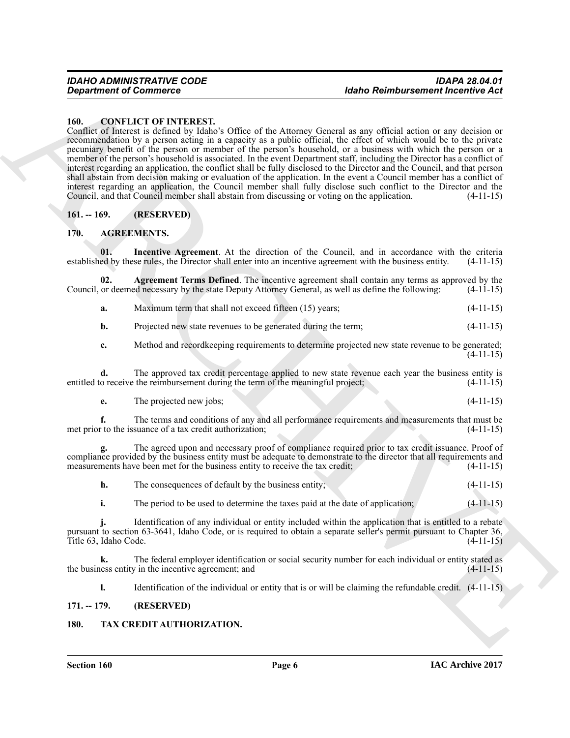#### <span id="page-5-8"></span><span id="page-5-0"></span>**160. CONFLICT OF INTEREST.**

*General of Counsel Counter Counter Counter and Section 2014 (Counter Counter and Section 2018)***<br>
And Counter Counter and Section 2017 (Counter and Section 2017)<br>
Counter and Section 2018 (Counter and Section 2018)<br>
ARCH** Conflict of Interest is defined by Idaho's Office of the Attorney General as any official action or any decision or recommendation by a person acting in a capacity as a public official, the effect of which would be to the private pecuniary benefit of the person or member of the person's household, or a business with which the person or a member of the person's household is associated. In the event Department staff, including the Director has a conflict of interest regarding an application, the conflict shall be fully disclosed to the Director and the Council, and that person shall abstain from decision making or evaluation of the application. In the event a Council member has a conflict of interest regarding an application, the Council member shall fully disclose such conflict to the Director and the Council, and that Council member shall abstain from discussing or voting on the application. (4-11-15)

#### <span id="page-5-1"></span>**161. -- 169. (RESERVED)**

#### <span id="page-5-5"></span><span id="page-5-2"></span>**170. AGREEMENTS.**

<span id="page-5-7"></span>**01.** Incentive Agreement. At the direction of the Council, and in accordance with the criteria ed by these rules, the Director shall enter into an incentive agreement with the business entity. (4-11-15) established by these rules, the Director shall enter into an incentive agreement with the business entity.

**02. Agreement Terms Defined**. The incentive agreement shall contain any terms as approved by the or deemed necessary by the state Deputy Attorney General, as well as define the following: (4-11-15) Council, or deemed necessary by the state Deputy Attorney General, as well as define the following:

<span id="page-5-6"></span>

| а. | Maximum term that shall not exceed fifteen (15) years; | $(4-11-15)$ |  |
|----|--------------------------------------------------------|-------------|--|
|----|--------------------------------------------------------|-------------|--|

**b.** Projected new state revenues to be generated during the term;  $(4-11-15)$ 

**c.** Method and record keeping requirements to determine projected new state revenue to be generated; (4-11-15)

**d.** The approved tax credit percentage applied to new state revenue each year the business entity is o receive the reimbursement during the term of the meaningful project; (4-11-15) entitled to receive the reimbursement during the term of the meaningful project;

**e.** The projected new jobs; (4-11-15)

**f.** The terms and conditions of any and all performance requirements and measurements that must be to the issuance of a tax credit authorization: (4-11-15) met prior to the issuance of a tax credit authorization;

**g.** The agreed upon and necessary proof of compliance required prior to tax credit issuance. Proof of compliance provided by the business entity must be adequate to demonstrate to the director that all requirements and measurements have been met for the business entity to receive the tax credit;  $(4-11-15)$ measurements have been met for the business entity to receive the tax credit;

|  | The consequences of default by the business entity; | $(4-11-15)$ |
|--|-----------------------------------------------------|-------------|
|--|-----------------------------------------------------|-------------|

**i.** The period to be used to determine the taxes paid at the date of application; (4-11-15)

**j.** Identification of any individual or entity included within the application that is entitled to a rebate pursuant to section 63-3641, Idaho Code, or is required to obtain a separate seller's permit pursuant to Chapter 36, Title 63, Idaho Code.  $(4-11-15)$ 

**k.** The federal employer identification or social security number for each individual or entity stated as ess entity in the incentive agreement; and (4-11-15) the business entity in the incentive agreement; and

<span id="page-5-9"></span>**l.** Identification of the individual or entity that is or will be claiming the refundable credit.  $(4-11-15)$ 

#### <span id="page-5-3"></span>**171. -- 179. (RESERVED)**

#### <span id="page-5-4"></span>**180. TAX CREDIT AUTHORIZATION.**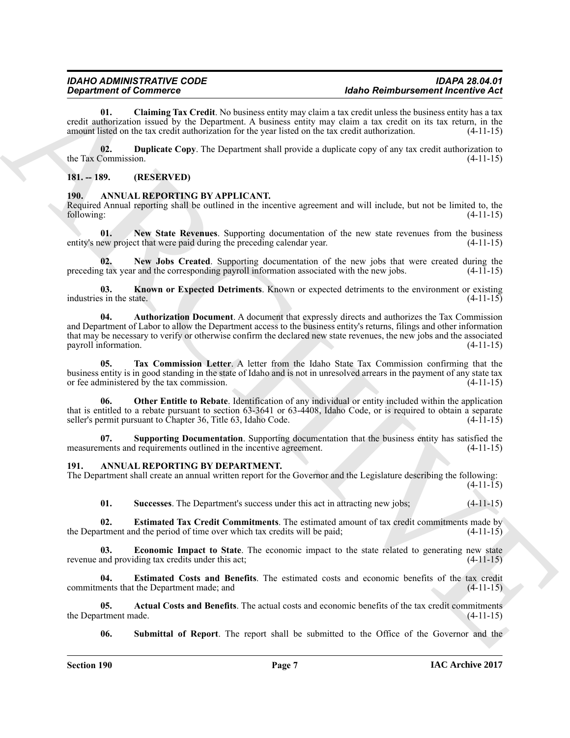<span id="page-6-13"></span>**01. Claiming Tax Credit**. No business entity may claim a tax credit unless the business entity has a tax credit authorization issued by the Department. A business entity may claim a tax credit on its tax return, in the amount listed on the tax credit authorization for the year listed on the tax credit authorization.

<span id="page-6-14"></span>**02. Duplicate Copy**. The Department shall provide a duplicate copy of any tax credit authorization to Commission. (4-11-15) the Tax Commission.

#### <span id="page-6-0"></span>**181. -- 189. (RESERVED)**

#### <span id="page-6-3"></span><span id="page-6-1"></span>**190. ANNUAL REPORTING BY APPLICANT.**

Required Annual reporting shall be outlined in the incentive agreement and will include, but not be limited to, the following: (4-11-15) following: (4-11-15)

<span id="page-6-4"></span>**01. New State Revenues**. Supporting documentation of the new state revenues from the business entity's new project that were paid during the preceding calendar year. (4-11-15)

**02.** New Jobs Created. Supporting documentation of the new jobs that were created during the g tax year and the corresponding payroll information associated with the new jobs. (4-11-15) preceding tax year and the corresponding payroll information associated with the new jobs.

**03. Known or Expected Detriments**. Known or expected detriments to the environment or existing s in the state. (4-11-15) industries in the state.

*Department of Consistents* Consistent Device Consistent in the Consistent of the Consistent Consistent Consistent Consistent Consistent Consistent Consistent Consistent Consistent Consistent Consistent Consistent Consi **04. Authorization Document**. A document that expressly directs and authorizes the Tax Commission and Department of Labor to allow the Department access to the business entity's returns, filings and other information that may be necessary to verify or otherwise confirm the declared new state revenues, the new jobs and the associated payroll information.

<span id="page-6-5"></span>**05. Tax Commission Letter**. A letter from the Idaho State Tax Commission confirming that the business entity is in good standing in the state of Idaho and is not in unresolved arrears in the payment of any state tax or fee administered by the tax commission.

**06. Other Entitle to Rebate**. Identification of any individual or entity included within the application that is entitled to a rebate pursuant to section 63-3641 or 63-4408, Idaho Code, or is required to obtain a separate seller's permit pursuant to Chapter 36, Title 63, Idaho Code. (4-11-15) seller's permit pursuant to Chapter 36, Title 63, Idaho Code.

**07. Supporting Documentation**. Supporting documentation that the business entity has satisfied the nents and requirements outlined in the incentive agreement. (4-11-15) measurements and requirements outlined in the incentive agreement.

#### <span id="page-6-6"></span><span id="page-6-2"></span>**191. ANNUAL REPORTING BY DEPARTMENT.**

The Department shall create an annual written report for the Governor and the Legislature describing the following:  $(4-11-15)$ 

<span id="page-6-12"></span><span id="page-6-10"></span><span id="page-6-8"></span>**01. Successes**. The Department's success under this act in attracting new jobs; (4-11-15)

**02.** Estimated Tax Credit Commitments. The estimated amount of tax credit commitments made by rtment and the period of time over which tax credits will be paid; (4-11-15) the Department and the period of time over which tax credits will be paid;

**Economic Impact to State**. The economic impact to the state related to generating new state revenue and providing tax credits under this act; (4-11-15)

<span id="page-6-9"></span>**04. Estimated Costs and Benefits**. The estimated costs and economic benefits of the tax credit commitments that the Department made; and (4-11-15)

**05.** Actual Costs and Benefits. The actual costs and economic benefits of the tax credit commitments rtment made. (4-11-15) the Department made.

<span id="page-6-11"></span><span id="page-6-7"></span>**06.** Submittal of Report. The report shall be submitted to the Office of the Governor and the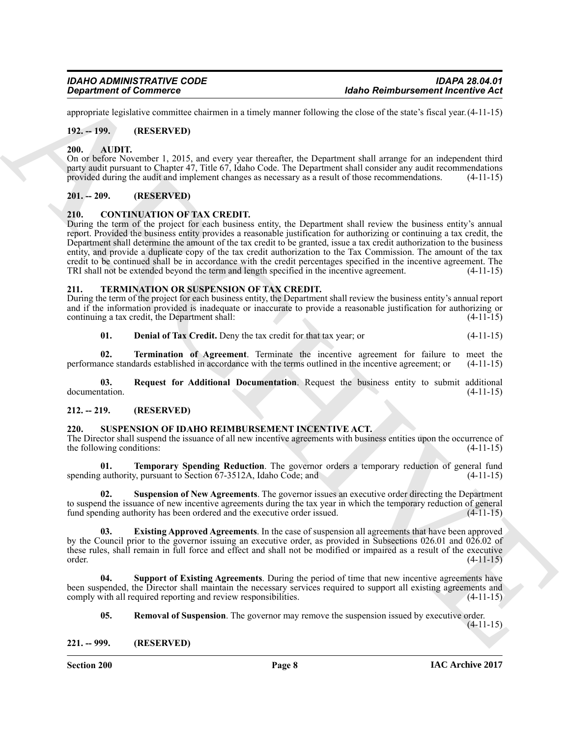appropriate legislative committee chairmen in a timely manner following the close of the state's fiscal year.(4-11-15)

#### <span id="page-7-0"></span>**192. -- 199. (RESERVED)**

#### <span id="page-7-8"></span><span id="page-7-1"></span>**200. AUDIT.**

On or before November 1, 2015, and every year thereafter, the Department shall arrange for an independent third party audit pursuant to Chapter 47, Title 67, Idaho Code. The Department shall consider any audit recommendations provided during the audit and implement changes as necessary as a result of those recommendations. (4-11-15)

#### <span id="page-7-2"></span>**201. -- 209. (RESERVED)**

#### <span id="page-7-9"></span><span id="page-7-3"></span>**210. CONTINUATION OF TAX CREDIT.**

Generation of Commission continues a standard information between the time of the standard energy of the standard energy and the standard energy and the standard energy of the standard energy of the standard energy of the During the term of the project for each business entity, the Department shall review the business entity's annual report. Provided the business entity provides a reasonable justification for authorizing or continuing a tax credit, the Department shall determine the amount of the tax credit to be granted, issue a tax credit authorization to the business entity, and provide a duplicate copy of the tax credit authorization to the Tax Commission. The amount of the tax credit to be continued shall be in accordance with the credit percentages specified in the incentive agreement. The TRI shall not be extended beyond the term and length specified in the incentive agreement.

#### <span id="page-7-15"></span><span id="page-7-4"></span>**211. TERMINATION OR SUSPENSION OF TAX CREDIT.**

During the term of the project for each business entity, the Department shall review the business entity's annual report and if the information provided is inadequate or inaccurate to provide a reasonable justification for authorizing or continuing a tax credit, the Department shall: (4-11-15) continuing a tax credit, the Department shall:

#### <span id="page-7-18"></span><span id="page-7-17"></span><span id="page-7-16"></span>**01. Denial of Tax Credit.** Deny the tax credit for that tax year; or (4-11-15)

**02. Termination of Agreement**. Terminate the incentive agreement for failure to meet the incentive agreement; or (4-11-15) performance standards established in accordance with the terms outlined in the incentive agreement; or (4-11-15)

**03.** Request for Additional Documentation. Request the business entity to submit additional documentation. (4-11-15) documentation. (4-11-15)

#### <span id="page-7-5"></span>**212. -- 219. (RESERVED)**

#### <span id="page-7-14"></span><span id="page-7-6"></span>**220. SUSPENSION OF IDAHO REIMBURSEMENT INCENTIVE ACT.**

The Director shall suspend the issuance of all new incentive agreements with business entities upon the occurrence of the following conditions: (4-11-15)

<span id="page-7-13"></span>**01. Temporary Spending Reduction**. The governor orders a temporary reduction of general fund authority pursuant to Section 67-3512A. Idaho Code: and (4-11-15) spending authority, pursuant to Section  $67-3512A$ , Idaho Code; and

**02. Suspension of New Agreements**. The governor issues an executive order directing the Department to suspend the issuance of new incentive agreements during the tax year in which the temporary reduction of general fund spending authority has been ordered and the executive order issued. (4-11-15) fund spending authority has been ordered and the executive order issued.

<span id="page-7-10"></span>**03. Existing Approved Agreements**. In the case of suspension all agreements that have been approved by the Council prior to the governor issuing an executive order, as provided in Subsections 026.01 and 026.02 of these rules, shall remain in full force and effect and shall not be modified or impaired as a result of the executive order. (4-11-15) order. (4-11-15)

**04. Support of Existing Agreements**. During the period of time that new incentive agreements have been suspended, the Director shall maintain the necessary services required to support all existing agreements and comply with all required reporting and review responsibilities. (4-11-15) comply with all required reporting and review responsibilities.

<span id="page-7-12"></span><span id="page-7-11"></span>**05.** Removal of Suspension. The governor may remove the suspension issued by executive order.

(4-11-15)

<span id="page-7-7"></span>**221. -- 999. (RESERVED)**

**Section 200 Page 8**